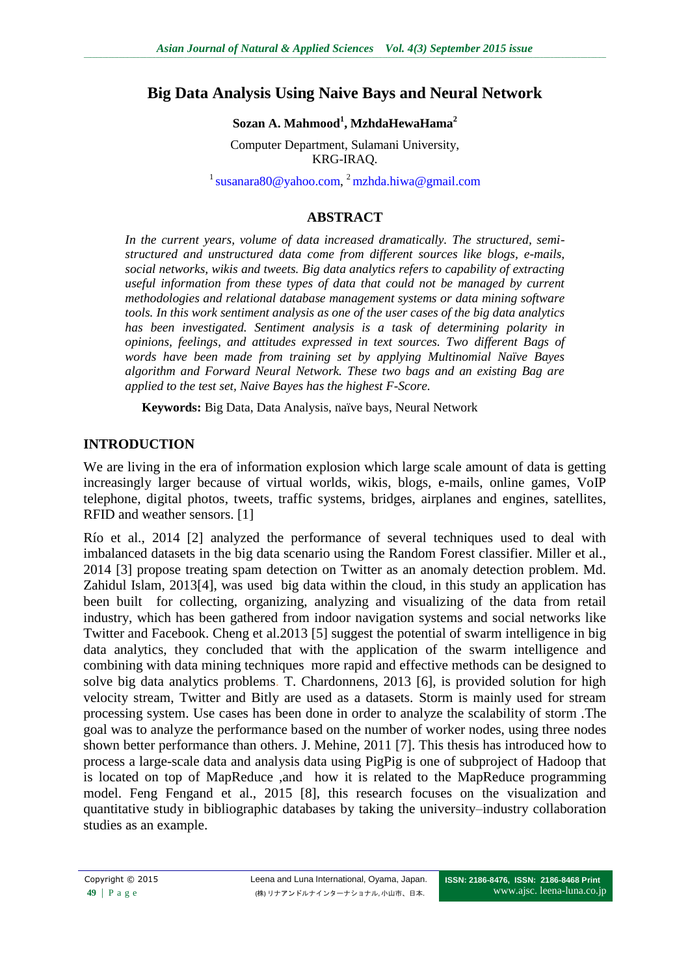### **Big Data Analysis Using Naive Bays and Neural Network**

#### **Sozan A. Mahmood<sup>1</sup> , MzhdaHewaHama<sup>2</sup>**

Computer Department, Sulamani University, KRG-IRAQ.

<sup>1</sup> [susanara80@yahoo.com,](mailto:susanara80@yahoo.com) <sup>2</sup> [mzhda.hiwa@gmail.com](mailto:mzhda.hiwa@gmail.com)

#### **ABSTRACT**

*In the current years, volume of data increased dramatically. The structured, semistructured and unstructured data come from different sources like blogs, e-mails, social networks, wikis and tweets. Big data analytics refers to capability of extracting useful information from these types of data that could not be managed by current methodologies and relational database management systems or data mining software tools. In this work sentiment analysis as one of the user cases of the big data analytics has been investigated. Sentiment analysis is a task of determining polarity in opinions, feelings, and attitudes expressed in text sources. Two different Bags of words have been made from training set by applying Multinomial Naïve Bayes algorithm and Forward Neural Network. These two bags and an existing Bag are applied to the test set, Naive Bayes has the highest F-Score.*

**Keywords:** Big Data, Data Analysis, naïve bays, Neural Network

#### **INTRODUCTION**

We are living in the era of information explosion which large scale amount of data is getting increasingly larger because of virtual worlds, wikis, blogs, e-mails, online games, VoIP telephone, digital photos, tweets, traffic systems, bridges, airplanes and engines, satellites, RFID and weather sensors. [1]

Río et al., 2014 [2] analyzed the performance of several techniques used to deal with imbalanced datasets in the big data scenario using the Random Forest classifier. Miller et al., 2014 [3] propose treating spam detection on Twitter as an anomaly detection problem. Md. Zahidul Islam, 2013[4], was used big data within the cloud, in this study an application has been built for collecting, organizing, analyzing and visualizing of the data from retail industry, which has been gathered from indoor navigation systems and social networks like Twitter and Facebook. Cheng et al.2013 [5] suggest the potential of swarm intelligence in big data analytics, they concluded that with the application of the swarm intelligence and combining with data mining techniques more rapid and effective methods can be designed to solve big data analytics problems. T. Chardonnens, 2013 [6], is provided solution for high velocity stream, Twitter and Bitly are used as a datasets. Storm is mainly used for stream processing system. Use cases has been done in order to analyze the scalability of storm .The goal was to analyze the performance based on the number of worker nodes, using three nodes shown better performance than others. J. Mehine, 2011 [7]. This thesis has introduced how to process a large-scale data and analysis data using PigPig is one of subproject of Hadoop that is located on top of MapReduce ,and how it is related to the MapReduce programming model. Feng Fengand et al., 2015 [8], this research focuses on the visualization and quantitative study in bibliographic databases by taking the university–industry collaboration studies as an example.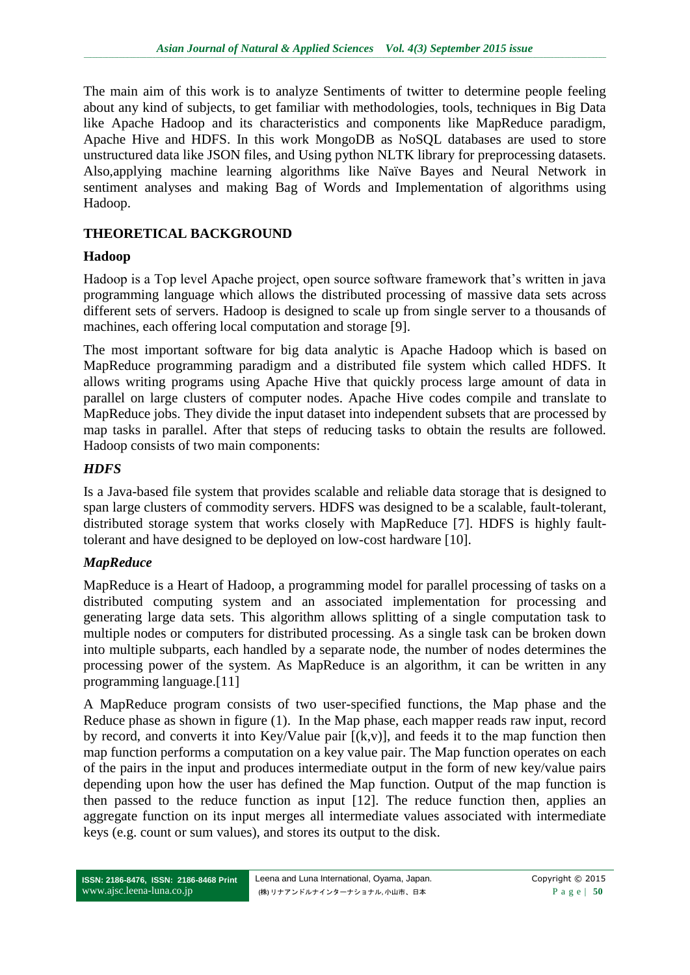The main aim of this work is to analyze Sentiments of twitter to determine people feeling about any kind of subjects, to get familiar with methodologies, tools, techniques in Big Data like Apache Hadoop and its characteristics and components like MapReduce paradigm, Apache Hive and HDFS. In this work MongoDB as NoSQL databases are used to store unstructured data like JSON files, and Using python NLTK library for preprocessing datasets. Also,applying machine learning algorithms like Naïve Bayes and Neural Network in sentiment analyses and making Bag of Words and Implementation of algorithms using Hadoop.

## **THEORETICAL BACKGROUND**

### **Hadoop**

Hadoop is a Top level Apache project, open source software framework that's written in java programming language which allows the distributed processing of massive data sets across different sets of servers. Hadoop is designed to scale up from single server to a thousands of machines, each offering local computation and storage [9].

The most important software for big data analytic is Apache Hadoop which is based on MapReduce programming paradigm and a distributed file system which called HDFS. It allows writing programs using Apache Hive that quickly process large amount of data in parallel on large clusters of computer nodes. Apache Hive codes compile and translate to MapReduce jobs. They divide the input dataset into independent subsets that are processed by map tasks in parallel. After that steps of reducing tasks to obtain the results are followed. Hadoop consists of two main components:

# *HDFS*

Is a Java-based file system that provides scalable and reliable data storage that is designed to span large clusters of commodity servers. HDFS was designed to be a scalable, fault-tolerant, distributed storage system that works closely with MapReduce [7]. HDFS is highly faulttolerant and have designed to be deployed on low-cost hardware [10].

### *MapReduce*

MapReduce is a Heart of Hadoop, a programming model for parallel processing of tasks on a distributed computing system and an associated implementation for processing and generating large data sets. This algorithm allows splitting of a single computation task to multiple nodes or computers for distributed processing. As a single task can be broken down into multiple subparts, each handled by a separate node, the number of nodes determines the processing power of the system. As MapReduce is an algorithm, it can be written in any programming language.[11]

A MapReduce program consists of two user-specified functions, the Map phase and the Reduce phase as shown in figure (1). In the Map phase, each mapper reads raw input, record by record, and converts it into Key/Value pair  $[(k,v)]$ , and feeds it to the map function then map function performs a computation on a key value pair. The Map function operates on each of the pairs in the input and produces intermediate output in the form of new key/value pairs depending upon how the user has defined the Map function. Output of the map function is then passed to the reduce function as input [12]. The reduce function then, applies an aggregate function on its input merges all intermediate values associated with intermediate keys (e.g. count or sum values), and stores its output to the disk.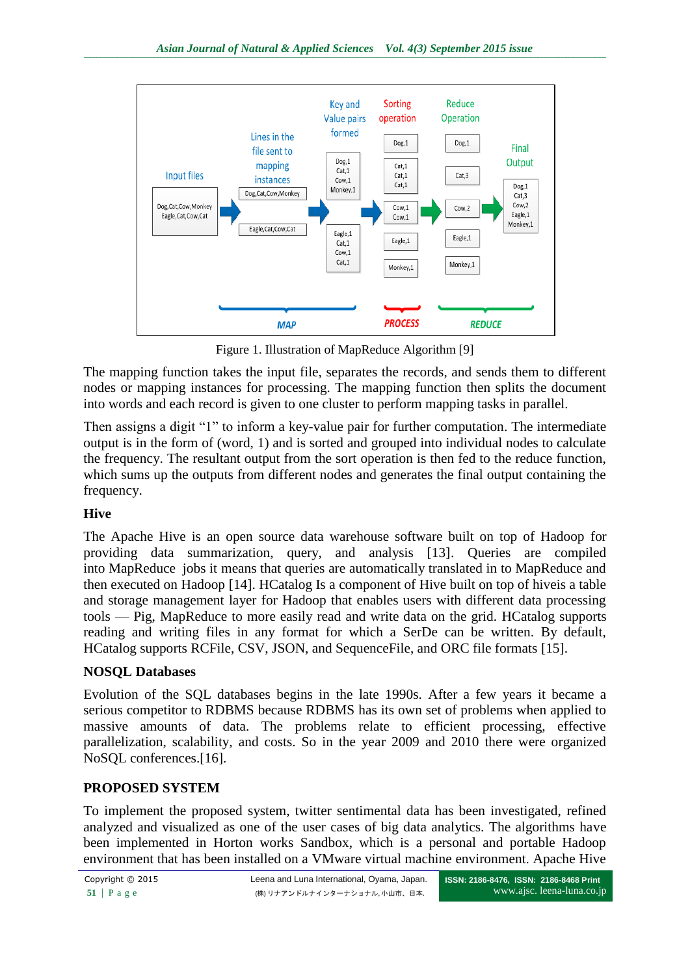

Figure 1. Illustration of MapReduce Algorithm [9]

The mapping function takes the input file, separates the records, and sends them to different nodes or mapping instances for processing. The mapping function then splits the document into words and each record is given to one cluster to perform mapping tasks in parallel.

Then assigns a digit "1" to inform a key-value pair for further computation. The intermediate output is in the form of (word, 1) and is sorted and grouped into individual nodes to calculate the frequency. The resultant output from the sort operation is then fed to the reduce function, which sums up the outputs from different nodes and generates the final output containing the frequency.

# **Hive**

The Apache Hive is an open source data warehouse software built on top of Hadoop for providing data summarization, query, and analysis [13]. Queries are compiled into [MapReduce](http://searchcloudcomputing.techtarget.com/definition/MapReduce) jobs it means that queries are automatically translated in to MapReduce and then executed on Hadoop [14]. [HCatalog](https://cwiki.apache.org/confluence/display/Hive/HCatalog) Is a component of Hive built on top of hiveis a table and storage management layer for Hadoop that enables users with different data processing tools — Pig, MapReduce to more easily read and write data on the grid. HCatalog supports reading and writing files in any format for which a SerDe can be written. By default, HCatalog supports RCFile, CSV, JSON, and SequenceFile, and ORC file formats [15].

# **NOSQL Databases**

Evolution of the SQL databases begins in the late 1990s. After a few years it became a serious competitor to RDBMS because RDBMS has its own set of problems when applied to massive amounts of data. The problems relate to efficient processing, effective parallelization, scalability, and costs. So in the year 2009 and 2010 there were organized NoSQL conferences.[16].

# **PROPOSED SYSTEM**

To implement the proposed system, twitter sentimental data has been investigated, refined analyzed and visualized as one of the user cases of big data analytics. The algorithms have been implemented in Horton works Sandbox, which is a personal and portable Hadoop environment that has been installed on a VMware virtual machine environment. Apache Hive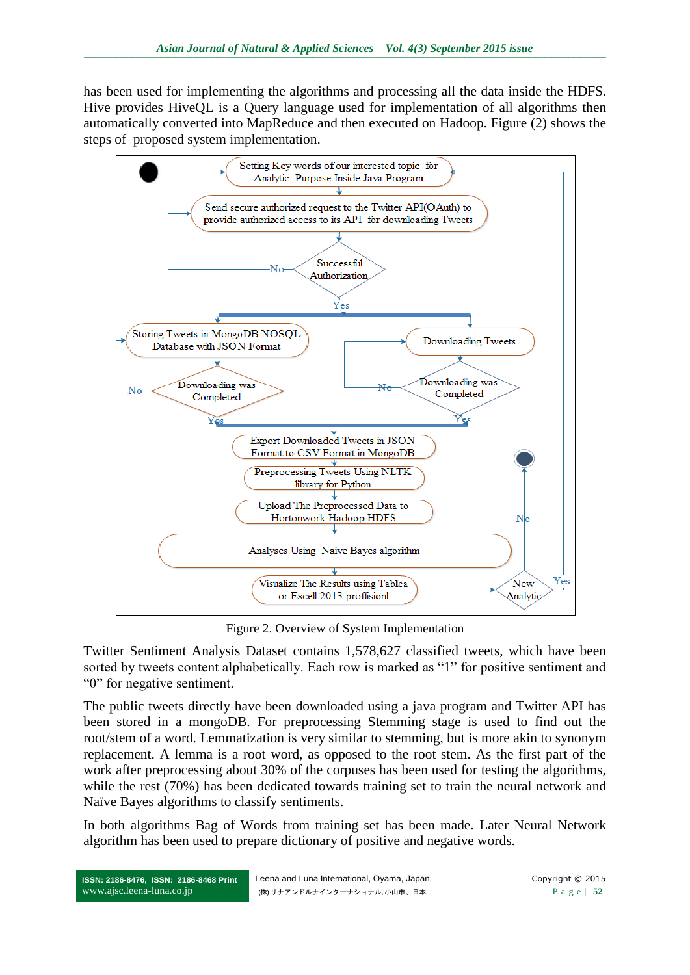has been used for implementing the algorithms and processing all the data inside the HDFS. Hive provides HiveQL is a Query language used for implementation of all algorithms then automatically converted into MapReduce and then executed on Hadoop. Figure (2) shows the steps of proposed system implementation.



Figure 2. Overview of System Implementation

Twitter Sentiment Analysis Dataset contains 1,578,627 classified tweets, which have been sorted by tweets content alphabetically. Each row is marked as "1" for positive sentiment and ―0‖ for negative sentiment.

The public tweets directly have been downloaded using a java program and Twitter API has been stored in a mongoDB. For preprocessing Stemming stage is used to find out the root/stem of a word. Lemmatization is very similar to stemming, but is more akin to synonym replacement. A lemma is a root word, as opposed to the root stem. As the first part of the work after preprocessing about 30% of the corpuses has been used for testing the algorithms, while the rest (70%) has been dedicated towards training set to train the neural network and Naïve Bayes algorithms to classify sentiments.

In both algorithms Bag of Words from training set has been made. Later Neural Network algorithm has been used to prepare dictionary of positive and negative words.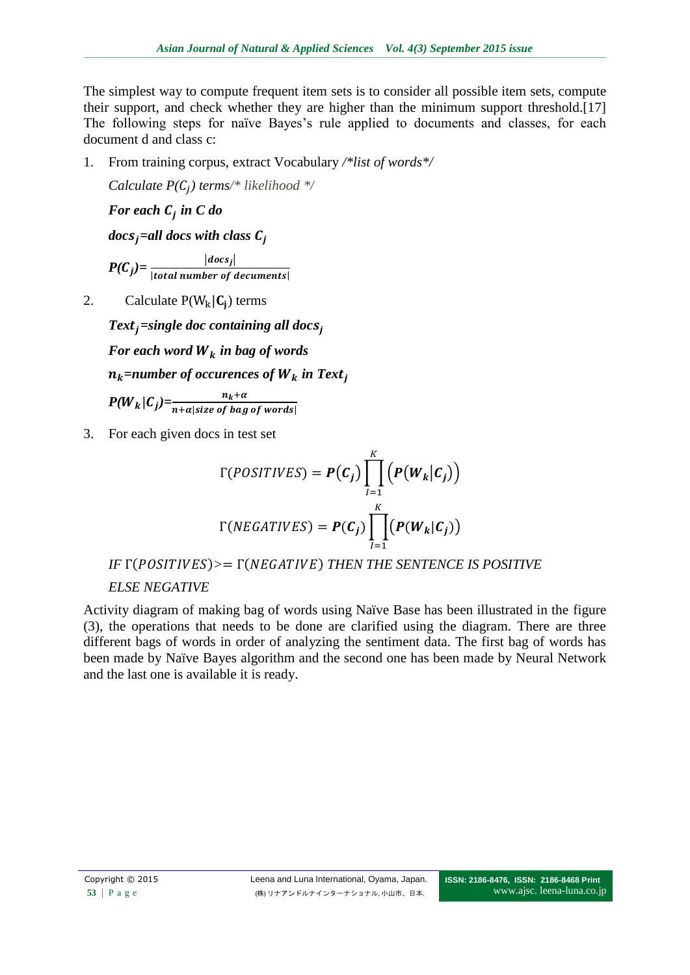The simplest way to compute frequent item sets is to consider all possible item sets, compute their support, and check whether they are higher than the minimum support threshold.[17] The following steps for naïve Bayes's rule applied to documents and classes, for each document d and class c:

1. From training corpus, extract Vocabulary */\*list of words\*/*

*Calculate*  $P(C_i)$  *terms*/\* likelihood \*/

*For each in C do*

 $docs<sub>i</sub> = all$  docs with class  $C<sub>i</sub>$ 

 $P(C_i) = \frac{|docs_j|}{|total|}$ |total number of decuments|

2. Calculate  $P(W_k | C_i)$  terms

 $Text_i = single doc containing all docs_i$ 

For each word  $W_k$  in bag of words

 $n_k$ *=number of occurences of W<sub>k</sub> in Text<sub>i</sub>* 

 $P(W_k | C_j) = \frac{n_k + \alpha}{n + \alpha |size\ of\ bag\ of\ words|}$ 

3. For each given docs in test set

$$
\Gamma(POSTIVES) = P(C_j) \prod_{l=1}^{K} (P(W_k|C_j))
$$
  

$$
\Gamma(NEGATIVES) = P(C_j) \prod_{l=1}^{K} (P(W_k|C_j))
$$

IF 
$$
\Gamma
$$
(POSITIVES)>=  $\Gamma$ (NEGATIVE) THEN THE SENTENCE IS POSITIVE

# *ELSE NEGATIVE*

Activity diagram of making bag of words using Naïve Base has been illustrated in the figure (3), the operations that needs to be done are clarified using the diagram. There are three different bags of words in order of analyzing the sentiment data. The first bag of words has been made by Naïve Bayes algorithm and the second one has been made by Neural Network and the last one is available it is ready.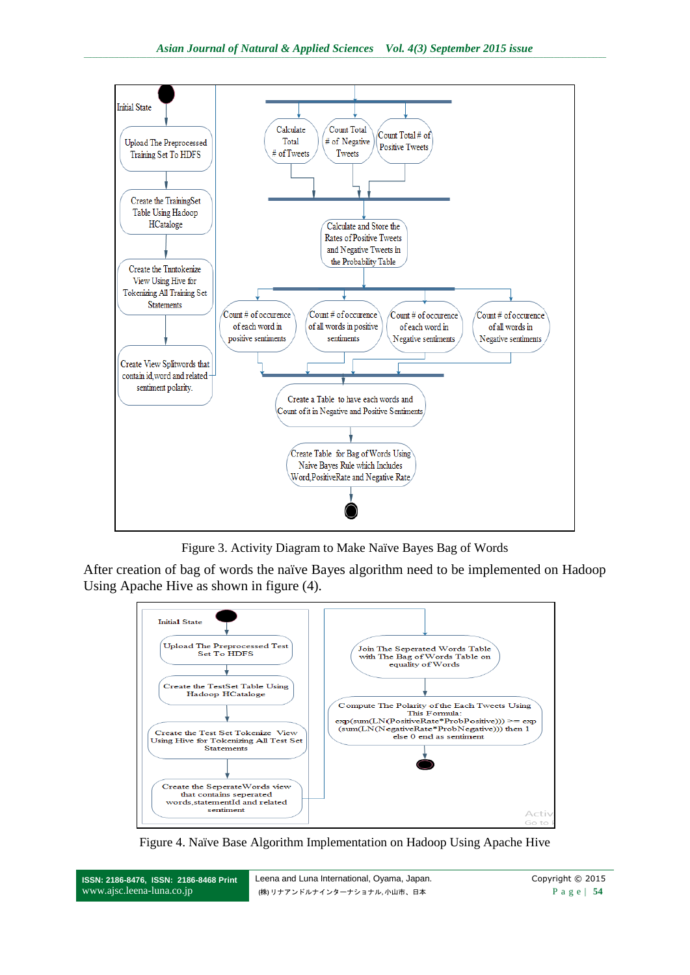

Figure 3. Activity Diagram to Make Naïve Bayes Bag of Words

After creation of bag of words the naïve Bayes algorithm need to be implemented on Hadoop Using Apache Hive as shown in figure (4).



Figure 4. Naïve Base Algorithm Implementation on Hadoop Using Apache Hive

**ISSN: 2186-8476, ISSN: 2186-8468 Print** www.ajsc.leena-luna.co.jp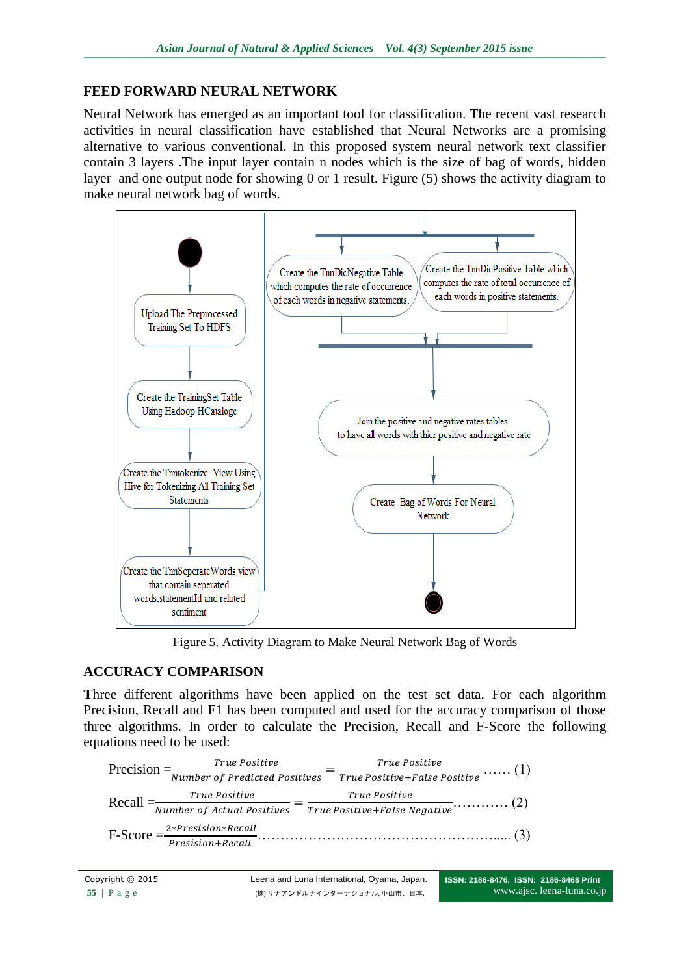# **FEED FORWARD NEURAL NETWORK**

Neural Network has emerged as an important tool for classification. The recent vast research activities in neural classification have established that Neural Networks are a promising alternative to various conventional. In this proposed system neural network text classifier contain 3 layers .The input layer contain n nodes which is the size of bag of words, hidden layer and one output node for showing 0 or 1 result. Figure (5) shows the activity diagram to make neural network bag of words.



Figure 5. Activity Diagram to Make Neural Network Bag of Words

# **ACCURACY COMPARISON**

**T**hree different algorithms have been applied on the test set data. For each algorithm Precision, Recall and F1 has been computed and used for the accuracy comparison of those three algorithms. In order to calculate the Precision, Recall and F-Score the following equations need to be used:

|  | $Precision = \frac{True \ Positive}{True \ Positive}$     | True Positive                                               |
|--|-----------------------------------------------------------|-------------------------------------------------------------|
|  | $\frac{1}{\sqrt{2\pi}}$ Number of Predicted Positives $=$ | $ \overline{True\ Positive\ + False\ Positive}$ (1)         |
|  |                                                           |                                                             |
|  |                                                           |                                                             |
|  |                                                           | $F-Score = \frac{2*Precision*Recall}{Precision+Recall}$ (3) |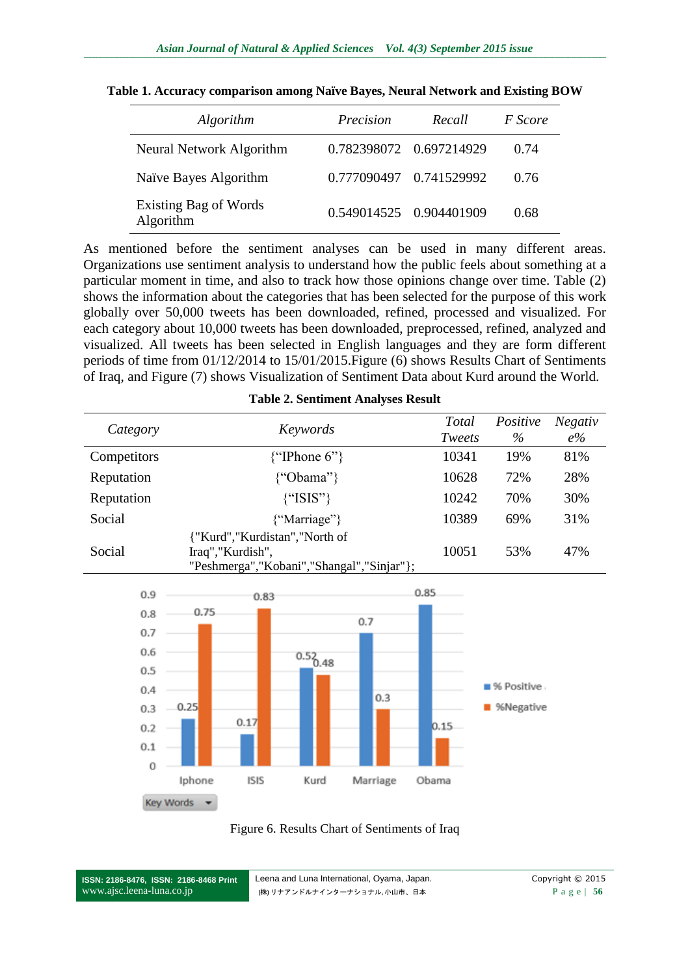| Algorithm                          | Precision | Recall                  | <i>F</i> Score |
|------------------------------------|-----------|-------------------------|----------------|
| Neural Network Algorithm           |           | 0.782398072 0.697214929 | 0.74           |
| Naïve Bayes Algorithm              |           | 0.777090497 0.741529992 | 0.76           |
| Existing Bag of Words<br>Algorithm |           | 0.549014525 0.904401909 | 0.68           |

**Table 1. Accuracy comparison among Naïve Bayes, Neural Network and Existing BOW**

As mentioned before the sentiment analyses can be used in many different areas. Organizations use sentiment analysis to understand how the public feels about something at a particular moment in time, and also to track how those opinions change over time. Table (2) shows the information about the categories that has been selected for the purpose of this work globally over 50,000 tweets has been downloaded, refined, processed and visualized. For each category about 10,000 tweets has been downloaded, preprocessed, refined, analyzed and visualized. All tweets has been selected in English languages and they are form different periods of time from 01/12/2014 to 15/01/2015.Figure (6) shows Results Chart of Sentiments of Iraq, and Figure (7) shows Visualization of Sentiment Data about Kurd around the World.

| Category    | Keywords                                                                                           | Total<br>Tweets | Positive<br>$\%$ | <b>Negativ</b><br>$e\%$ |
|-------------|----------------------------------------------------------------------------------------------------|-----------------|------------------|-------------------------|
| Competitors | $\{$ "IPhone 6" $\}$                                                                               | 10341           | 19%              | 81%                     |
| Reputation  | {"Obama"}                                                                                          | 10628           | 72%              | 28%                     |
| Reputation  | ${``ISIS''\}$                                                                                      | 10242           | 70%              | 30%                     |
| Social      | {"Marriage"}                                                                                       | 10389           | 69%              | 31%                     |
| Social      | {"Kurd","Kurdistan","North of<br>Iraq","Kurdish",<br>"Peshmerga", "Kobani", "Shangal", "Sinjar" }; | 10051           | 53%              | 47%                     |

**Table 2. Sentiment Analyses Result**

![](_page_7_Figure_6.jpeg)

![](_page_7_Figure_7.jpeg)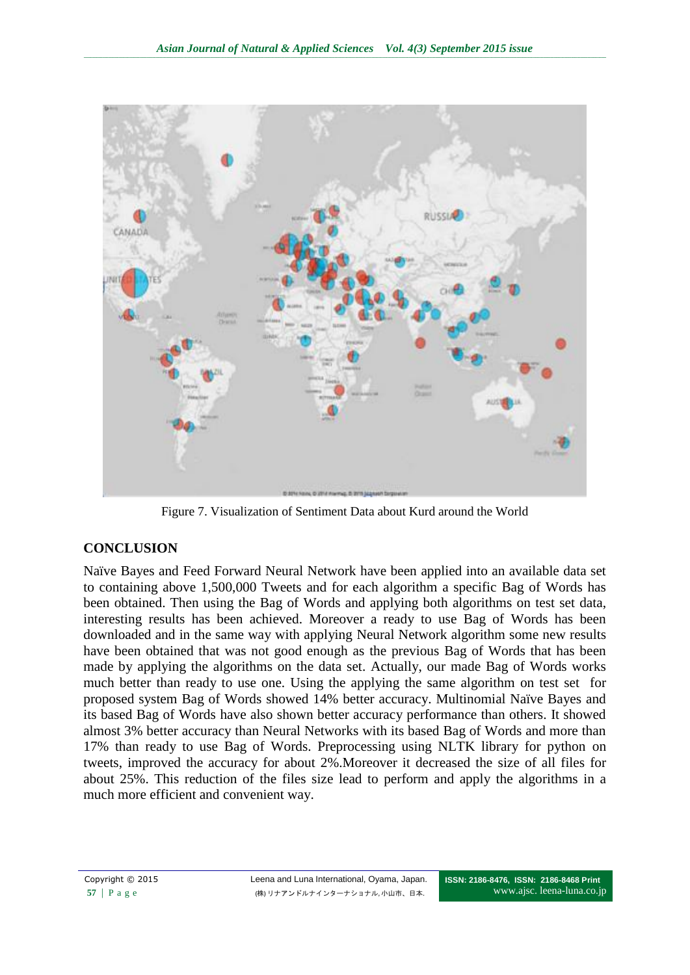![](_page_8_Figure_1.jpeg)

Figure 7. Visualization of Sentiment Data about Kurd around the World

# **CONCLUSION**

Naïve Bayes and Feed Forward Neural Network have been applied into an available data set to containing above 1,500,000 Tweets and for each algorithm a specific Bag of Words has been obtained. Then using the Bag of Words and applying both algorithms on test set data, interesting results has been achieved. Moreover a ready to use Bag of Words has been downloaded and in the same way with applying Neural Network algorithm some new results have been obtained that was not good enough as the previous Bag of Words that has been made by applying the algorithms on the data set. Actually, our made Bag of Words works much better than ready to use one. Using the applying the same algorithm on test set for proposed system Bag of Words showed 14% better accuracy. Multinomial Naïve Bayes and its based Bag of Words have also shown better accuracy performance than others. It showed almost 3% better accuracy than Neural Networks with its based Bag of Words and more than 17% than ready to use Bag of Words. Preprocessing using NLTK library for python on tweets, improved the accuracy for about 2%.Moreover it decreased the size of all files for about 25%. This reduction of the files size lead to perform and apply the algorithms in a much more efficient and convenient way.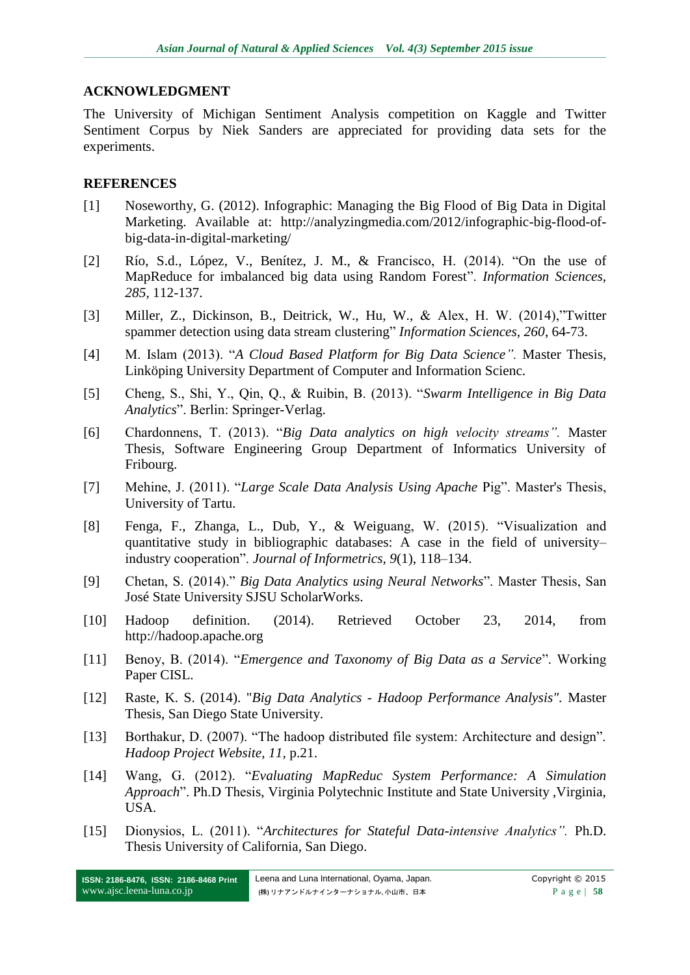### **ACKNOWLEDGMENT**

The University of Michigan Sentiment Analysis competition on Kaggle and Twitter Sentiment Corpus by Niek Sanders are appreciated for providing data sets for the experiments.

### **REFERENCES**

- [1] Noseworthy, G. (2012). Infographic: Managing the Big Flood of Big Data in Digital Marketing. Available at: [http://analyzingmedia.com/2012/infographic-big-flood-of](http://analyzingmedia.com/2012/infographic-big-flood-of-big-data-in-digital-marketing/)[big-data-in-digital-marketing/](http://analyzingmedia.com/2012/infographic-big-flood-of-big-data-in-digital-marketing/)
- [2] Río, S.d., López, V., Benítez, J. M., & Francisco, H. (2014). "On the use of MapReduce for imbalanced big data using Random Forest". *Information Sciences*, *285,* 112-137.
- [3] Miller, Z., Dickinson, B., Deitrick, W., Hu, W., & Alex, H. W. (2014), "Twitter spammer detection using data stream clustering" *Information Sciences, 260, 64-73.*
- [4] M. Islam (2013). "A Cloud Based Platform for Big Data Science". Master Thesis, Linköping University Department of Computer and Information Scienc.
- [5] Cheng, S., Shi, Y., Qin, Q., & Ruibin, B. (2013). ―*Swarm Intelligence in Big Data Analytics*‖. Berlin: Springer-Verlag.
- [6] Chardonnens, T. (2013). ―*Big Data analytics on high velocity streams".* Master Thesis, Software Engineering Group Department of Informatics University of Fribourg.
- [7] Mehine, J. (2011). "*Large Scale Data Analysis Using Apache* Pig". Master's Thesis, University of Tartu.
- [8] Fenga, F., Zhanga, L., Dub, Y., & Weiguang, W. (2015). "Visualization and quantitative study in bibliographic databases: A case in the field of university– industry cooperation". *Journal of Informetrics*, 9[\(1\)](http://www.sciencedirect.com/science/journal/17511577/9/1), 118–134.
- [9] Chetan, S. (2014)." *Big Data Analytics using Neural Networks*". Master Thesis, San José State University SJSU ScholarWorks.
- [10] Hadoop definition. (2014). Retrieved October 23, 2014, from [http://hadoop.apache.org](http://hadoop.apache.org/)
- [11] Benoy, B. (2014). "*Emergence and Taxonomy of Big Data as a Service*". Working Paper CISL.
- [12] Raste, K. S. (2014). "*Big Data Analytics - Hadoop Performance Analysis".* Master Thesis, San Diego State University.
- [13] Borthakur, D. (2007). "The hadoop distributed file system: Architecture and design". *Hadoop Project Website, 11,* p.21.
- [14] Wang, G. (2012). "Evaluating MapReduc System Performance: A Simulation *Approach*". Ph.D Thesis, Virginia Polytechnic Institute and State University ,Virginia, USA.
- [15] Dionysios, L. (2011). ―*Architectures for Stateful Data-intensive Analytics".* Ph.D. Thesis University of California, San Diego.